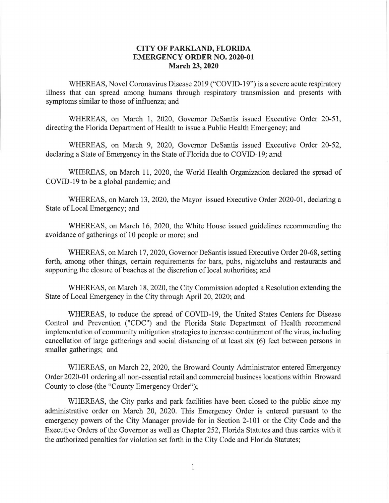## **CITY OF PARKLAND, FLORIDA EMERGENCY ORDER NO. 2020-01 March 23, 2020**

WHEREAS, Novel Coronavirus Disease 2019 ("COVID-19") is a severe acute respiratory illness that can spread among humans through respiratory transmission and presents with symptoms similar to those of influenza; and

WHEREAS, on March 1, 2020, Governor DeSantis issued Executive Order 20-51, directing the Florida Department of Health to issue a Public Health Emergency; and

WHEREAS, on March 9, 2020, Governor DeSantis issued Executive Order 20-52, declaring a State of Emergency in the State of Florida due to COVID-19; and

WHEREAS, on March 11, 2020, the World Health Organization declared the spread of COVID-19 to be a global pandemic; and

WHEREAS, on March 13, 2020, the Mayor issued Executive Order 2020-01, declaring a State of Local Emergency; and

WHEREAS, on March 16, 2020, the White House issued guidelines recommending the avoidance of gatherings of 10 people or more; and

WHEREAS, on March 17, 2020, Governor DeSantis issued Executive Order 20-68, setting forth, among other things, certain requirements for bars, pubs, nightclubs and restaurants and supporting the closure of beaches at the discretion of local authorities; and

WHEREAS, on March 18, 2020, the City Commission adopted a Resolution extending the State of Local Emergency in the City through April 20, 2020; and

WHEREAS, to reduce the spread of COVID-19, the United States Centers for Disease Control and Prevention ("CDC") and the Florida State Department of Health recommend implementation of community mitigation strategies to increase containment of the virus, including cancellation of large gatherings and social distancing of at least six (6) feet between persons in smaller gatherings; and

WHEREAS, on March 22, 2020, the Broward County Administrator entered Emergency Order 2020-01 ordering all non-essential retail and commercial business locations within Broward County to close (the "County Emergency Order");

WHEREAS, the City parks and park facilities have been closed to the public since my administrative order on March 20, 2020. This Emergency Order is entered pursuant to the emergency powers of the City Manager provide for in Section 2-101 or the City Code and the Executive Orders of the Governor as well as Chapter 252, Florida Statutes and thus carries with it the authorized penalties for violation set forth in the City Code and Florida Statutes;